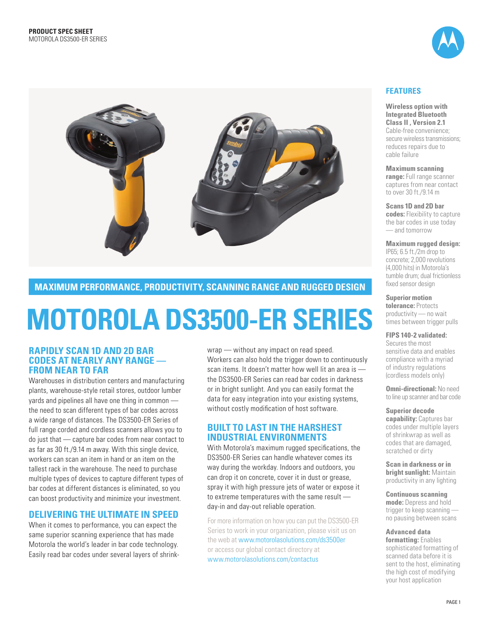



# **maximum per form ance , product ivity, sc anning range and ru gged des ign**

# **Motoro la DS3500-ER Ser ies**

### **rapidly scan 1D and 2D bar codes at nearly any range from near to far**

Warehouses in distribution centers and manufacturing plants, warehouse-style retail stores, outdoor lumber yards and pipelines all have one thing in common the need to scan different types of bar codes across a wide range of distances. The DS3500-ER Series of full range corded and cordless scanners allows you to do just that — capture bar codes from near contact to as far as 30 ft./9.14 m away. With this single device, workers can scan an item in hand or an item on the tallest rack in the warehouse. The need to purchase multiple types of devices to capture different types of bar codes at different distances is eliminated, so you can boost productivity and minimize your investment.

# **Deliver ing the ultimate in speed**

When it comes to performance, you can expect the same superior scanning experience that has made Motorola the world's leader in bar code technology. Easily read bar codes under several layers of shrinkwrap — without any impact on read speed. Workers can also hold the trigger down to continuously scan items. It doesn't matter how well lit an area is the DS3500-ER Series can read bar codes in darkness or in bright sunlight. And you can easily format the data for easy integration into your existing systems, without costly modification of host software.

# **built to last in the harshest iNDUSTRIAL ENVIRONMENTS**

With Motorola's maximum rugged specifications, the DS3500-ER Series can handle whatever comes its way during the workday. Indoors and outdoors, you can drop it on concrete, cover it in dust or grease, spray it with high pressure jets of water or expose it to extreme temperatures with the same result day-in and day-out reliable operation.

For more information on how you can put the DS3500-ER Series to work in your organization, please visit us on the web at www.motorolasolutions.com/ds3500er or access our global contact directory at www.motorolasolutions.com/contactus

## **Features**

**Wireless option with Integrated Bluetooth Class II , Version 2.1**  Cable-free convenience; secure wireless transmissions; reduces repairs due to cable failure

#### **Maximum scanning**

**range:** Full range scanner captures from near contact to over 30 ft./9.14 m

**Scans 1D and 2D bar codes:** Flexibility to capture the bar codes in use today — and tomorrow

**Maximum rugged design:** 

IP65; 6.5 ft./2m drop to concrete; 2,000 revolutions (4,000 hits) in Motorola's tumble drum; dual frictionless fixed sensor design

#### **Superior motion**

**tolerance:** Protects productivity — no wait times between trigger pulls

**FI PS 140-2 validated:**  Secures the most sensitive data and enables compliance with a myriad of industry regulations (cordless models only)

**Omni-directional:** No need to line up scanner and bar code

#### **Superior decode**

**capability:** Captures bar codes under multiple layers of shrinkwrap as well as codes that are damaged, scratched or dirty

**Scan in darkness or in bright sunlight:** Maintain productivity in any lighting

**Continuous scanning mode:** Depress and hold trigger to keep scanning no pausing between scans

**Advanced data formatting:** Enables sophisticated formatting of scanned data before it is sent to the host, eliminating the high cost of modifying your host application